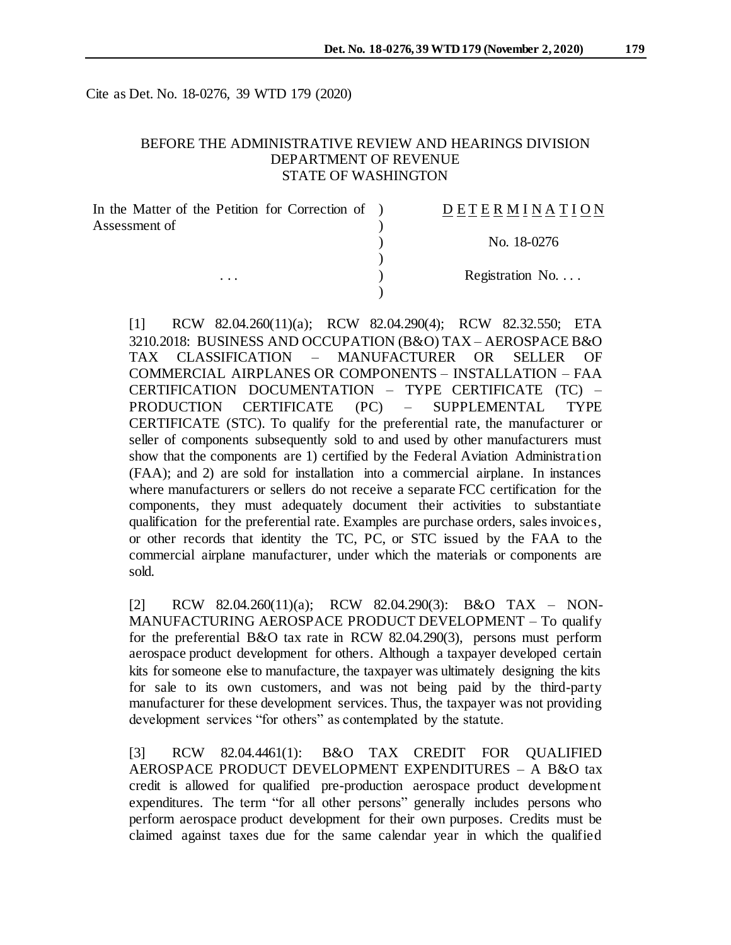Cite as Det. No. 18-0276, 39 WTD 179 (2020)

#### BEFORE THE ADMINISTRATIVE REVIEW AND HEARINGS DIVISION DEPARTMENT OF REVENUE STATE OF WASHINGTON

| In the Matter of the Petition for Correction of ) | DETERMINATION   |
|---------------------------------------------------|-----------------|
| Assessment of<br>$\cdots$                         | No. 18-0276     |
|                                                   |                 |
|                                                   | Registration No |
|                                                   |                 |

[1] RCW 82.04.260(11)(a); RCW 82.04.290(4); RCW 82.32.550; ETA 3210.2018: BUSINESS AND OCCUPATION (B&O) TAX – AEROSPACE B&O TAX CLASSIFICATION – MANUFACTURER OR SELLER OF COMMERCIAL AIRPLANES OR COMPONENTS – INSTALLATION – FAA CERTIFICATION DOCUMENTATION – TYPE CERTIFICATE (TC) – PRODUCTION CERTIFICATE (PC) – SUPPLEMENTAL TYPE CERTIFICATE (STC). To qualify for the preferential rate, the manufacturer or seller of components subsequently sold to and used by other manufacturers must show that the components are 1) certified by the Federal Aviation Administration (FAA); and 2) are sold for installation into a commercial airplane. In instances where manufacturers or sellers do not receive a separate FCC certification for the components, they must adequately document their activities to substantiate qualification for the preferential rate. Examples are purchase orders, sales invoices, or other records that identity the TC, PC, or STC issued by the FAA to the commercial airplane manufacturer, under which the materials or components are sold.

[2] RCW 82.04.260(11)(a); RCW 82.04.290(3): B&O TAX – NON-MANUFACTURING AEROSPACE PRODUCT DEVELOPMENT – To qualify for the preferential B&O tax rate in RCW 82.04.290(3), persons must perform aerospace product development for others. Although a taxpayer developed certain kits for someone else to manufacture, the taxpayer was ultimately designing the kits for sale to its own customers, and was not being paid by the third-party manufacturer for these development services. Thus, the taxpayer was not providing development services "for others" as contemplated by the statute.

[3] RCW 82.04.4461(1): B&O TAX CREDIT FOR QUALIFIED AEROSPACE PRODUCT DEVELOPMENT EXPENDITURES – A B&O tax credit is allowed for qualified pre-production aerospace product development expenditures. The term "for all other persons" generally includes persons who perform aerospace product development for their own purposes. Credits must be claimed against taxes due for the same calendar year in which the qualified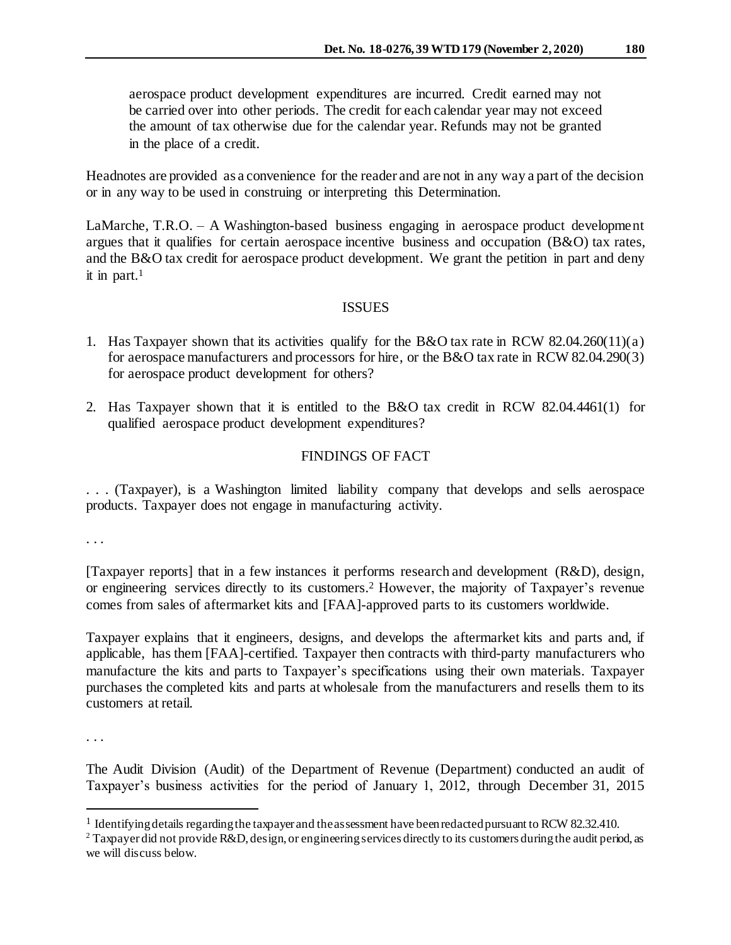aerospace product development expenditures are incurred. Credit earned may not be carried over into other periods. The credit for each calendar year may not exceed the amount of tax otherwise due for the calendar year. Refunds may not be granted in the place of a credit.

Headnotes are provided as a convenience for the reader and are not in any way a part of the decision or in any way to be used in construing or interpreting this Determination.

LaMarche, T.R.O. – A Washington-based business engaging in aerospace product development argues that it qualifies for certain aerospace incentive business and occupation (B&O) tax rates, and the B&O tax credit for aerospace product development. We grant the petition in part and deny it in part. $1$ 

### ISSUES

- 1. Has Taxpayer shown that its activities qualify for the B&O tax rate in RCW 82.04.260(11)(a) for aerospace manufacturers and processors for hire, or the B&O tax rate in RCW 82.04.290(3) for aerospace product development for others?
- 2. Has Taxpayer shown that it is entitled to the B&O tax credit in RCW 82.04.4461(1) for qualified aerospace product development expenditures?

## FINDINGS OF FACT

. . . (Taxpayer), is a Washington limited liability company that develops and sells aerospace products. Taxpayer does not engage in manufacturing activity.

. . .

[Taxpayer reports] that in a few instances it performs research and development (R&D), design, or engineering services directly to its customers. <sup>2</sup> However, the majority of Taxpayer's revenue comes from sales of aftermarket kits and [FAA]-approved parts to its customers worldwide.

Taxpayer explains that it engineers, designs, and develops the aftermarket kits and parts and, if applicable, has them [FAA]-certified. Taxpayer then contracts with third-party manufacturers who manufacture the kits and parts to Taxpayer's specifications using their own materials. Taxpayer purchases the completed kits and parts at wholesale from the manufacturers and resells them to its customers at retail.

. . .

l

The Audit Division (Audit) of the Department of Revenue (Department) conducted an audit of Taxpayer's business activities for the period of January 1, 2012, through December 31, 2015

<sup>&</sup>lt;sup>1</sup> Identifying details regarding the taxpayer and the assessment have been redacted pursuant to RCW 82.32.410.

<sup>&</sup>lt;sup>2</sup> Taxpayer did not provide R&D, design, or engineering services directly to its customers during the audit period, as we will discuss below.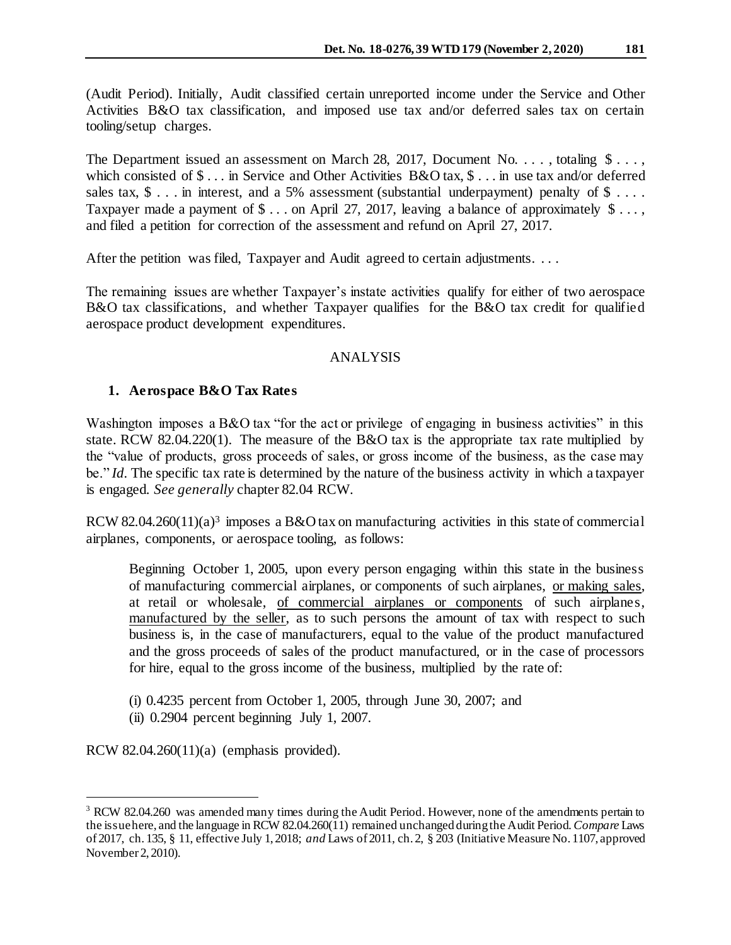(Audit Period). Initially, Audit classified certain unreported income under the Service and Other Activities B&O tax classification, and imposed use tax and/or deferred sales tax on certain tooling/setup charges.

The Department issued an assessment on March 28, 2017, Document No. . . . , totaling  $\$\ldots$ , which consisted of  $\$\dots$$  in Service and Other Activities B&O tax,  $\$\dots$$  in use tax and/or deferred sales tax,  $\$ \dots$  in interest, and a 5% assessment (substantial underpayment) penalty of  $\$ \dots$ . Taxpayer made a payment of  $\$\dots$  on April 27, 2017, leaving a balance of approximately  $\$\dots$ , and filed a petition for correction of the assessment and refund on April 27, 2017.

After the petition was filed, Taxpayer and Audit agreed to certain adjustments. . . .

The remaining issues are whether Taxpayer's instate activities qualify for either of two aerospace B&O tax classifications, and whether Taxpayer qualifies for the B&O tax credit for qualified aerospace product development expenditures.

### ANALYSIS

### **1. Aerospace B&O Tax Rates**

Washington imposes a B&O tax "for the act or privilege of engaging in business activities" in this state. RCW 82.04.220(1). The measure of the B&O tax is the appropriate tax rate multiplied by the "value of products, gross proceeds of sales, or gross income of the business, as the case may be." *Id.* The specific tax rate is determined by the nature of the business activity in which a taxpayer is engaged. *See generally* chapter 82.04 RCW.

RCW 82.04.260(11)(a)<sup>3</sup> imposes a B&O tax on manufacturing activities in this state of commercial airplanes, components, or aerospace tooling, as follows:

Beginning October 1, 2005, upon every person engaging within this state in the business of manufacturing commercial airplanes, or components of such airplanes, or making sales, at retail or wholesale, of commercial airplanes or components of such airplanes, manufactured by the seller, as to such persons the amount of tax with respect to such business is, in the case of manufacturers, equal to the value of the product manufactured and the gross proceeds of sales of the product manufactured, or in the case of processors for hire, equal to the gross income of the business, multiplied by the rate of:

- (i) 0.4235 percent from October 1, 2005, through June 30, 2007; and
- (ii)  $0.2904$  percent beginning July 1, 2007.

RCW 82.04.260(11)(a) (emphasis provided).

j

<sup>&</sup>lt;sup>3</sup> RCW 82.04.260 was amended many times during the Audit Period. However, none of the amendments pertain to the issue here, and the language in RCW 82.04.260(11) remained unchanged during the Audit Period*. Compare* Laws o[f 2017, ch. 135, § 11, effective July 1, 2018;](http://lawfilesext.leg.wa.gov/biennium/2017-18/Pdf/Bills/Session%20Laws/House/1296-S.SL.pdf?cite=2017%20c%20135%20§%2011.) *and* Laws of 2011, ch. 2, § 203 (Initiative Measure No. 1107, approved November 2, 2010).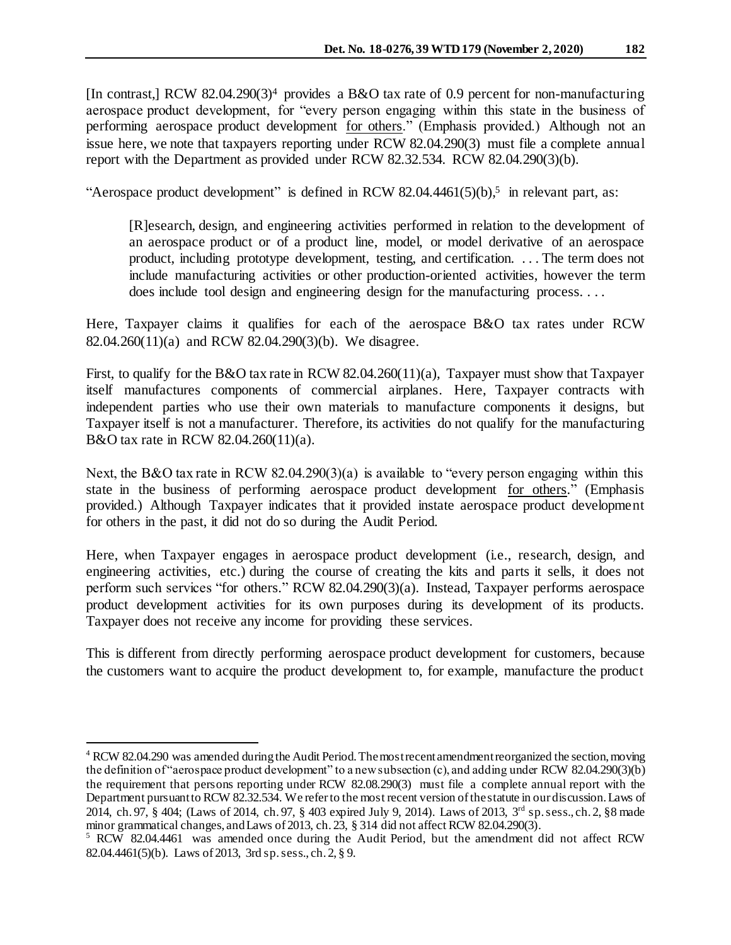[In contrast,] RCW 82.04.290(3)<sup>4</sup> provides a B&O tax rate of 0.9 percent for non-manufacturing aerospace product development, for "every person engaging within this state in the business of performing aerospace product development for others." (Emphasis provided.) Although not an issue here, we note that taxpayers reporting under RCW 82.04.290(3) must file a complete annual report with the Department as provided under RCW 82.32.534. RCW 82.04.290(3)(b).

"Aerospace product development" is defined in RCW 82.04.4461(5)(b),<sup>5</sup> in relevant part, as:

[R]esearch, design, and engineering activities performed in relation to the development of an aerospace product or of a product line, model, or model derivative of an aerospace product, including prototype development, testing, and certification. . . . The term does not include manufacturing activities or other production-oriented activities, however the term does include tool design and engineering design for the manufacturing process. . . .

Here, Taxpayer claims it qualifies for each of the aerospace B&O tax rates under RCW 82.04.260(11)(a) and RCW 82.04.290(3)(b). We disagree.

First, to qualify for the B&O tax rate in RCW 82.04.260(11)(a), Taxpayer must show that Taxpayer itself manufactures components of commercial airplanes. Here, Taxpayer contracts with independent parties who use their own materials to manufacture components it designs, but Taxpayer itself is not a manufacturer. Therefore, its activities do not qualify for the manufacturing B&O tax rate in RCW 82.04.260(11)(a).

Next, the B&O tax rate in RCW 82.04.290(3)(a) is available to "every person engaging within this state in the business of performing aerospace product development for others." (Emphasis provided.) Although Taxpayer indicates that it provided instate aerospace product development for others in the past, it did not do so during the Audit Period.

Here, when Taxpayer engages in aerospace product development (i.e., research, design, and engineering activities, etc.) during the course of creating the kits and parts it sells, it does not perform such services "for others." RCW 82.04.290(3)(a). Instead, Taxpayer performs aerospace product development activities for its own purposes during its development of its products. Taxpayer does not receive any income for providing these services.

This is different from directly performing aerospace product development for customers, because the customers want to acquire the product development to, for example, manufacture the product

l

<sup>4</sup> RCW 82.04.290 was amended during the Audit Period. The most recent amendment reorganized the section, moving the definition of "aerospace product development" to a new subsection (c), and adding under RCW 82.04.290(3)(b) the requirement that persons reporting under RCW 82.08.290(3) must file a complete annual report with the Department pursuant to RCW 82.32.534. We refer to the most recent version of the statute in our discussion. Laws of [2014, ch. 97, § 404;](http://lawfilesext.leg.wa.gov/biennium/2013-14/Pdf/Bills/Session%20Laws/Senate/6333-S.SL.pdf?cite=2014%20c%2097%20§%20404;) (Laws of 2014, ch. 97, § 403 expired July 9, 2014). Laws of 2013, 3<sup>rd</sup> sp. sess., ch. 2, §8 made minor grammatical changes, and Laws of 2013, ch. 23, § 314 did not affect RCW 82.04.290(3).

 $5$  RCW 82.04.4461 was amended once during the Audit Period, but the amendment did not affect RCW 82.04.4461(5)(b). Laws of 2013, [3rd sp.sess.,](http://lawfilesext.leg.wa.gov/biennium/2013-14/Pdf/Bills/Session%20Laws/Senate/5952-S.SL.pdf?cite=2013%203rd%20sp.s.%20c%202%20§%209;) ch. 2, § 9.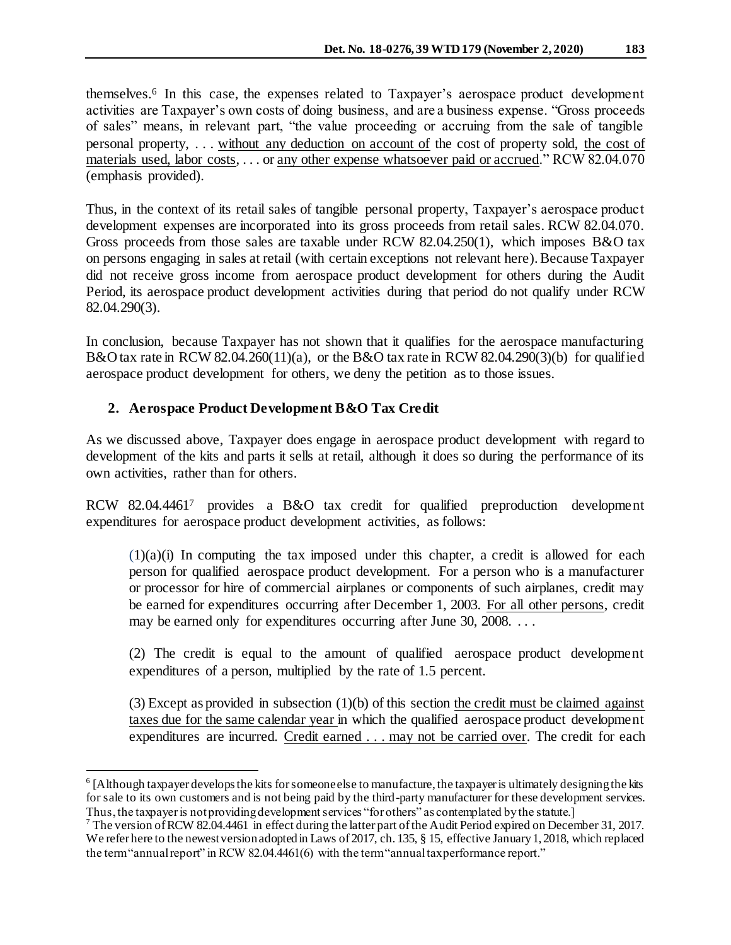themselves. 6 In this case, the expenses related to Taxpayer's aerospace product development activities are Taxpayer's own costs of doing business, and are a business expense. "Gross proceeds of sales" means, in relevant part, "the value proceeding or accruing from the sale of tangible personal property, . . . without any deduction on account of the cost of property sold, the cost of materials used, labor costs, . . . or any other expense whatsoever paid or accrued." RCW 82.04.070 (emphasis provided).

Thus, in the context of its retail sales of tangible personal property, Taxpayer's aerospace product development expenses are incorporated into its gross proceeds from retail sales. RCW 82.04.070. Gross proceeds from those sales are taxable under RCW 82.04.250(1), which imposes B&O tax on persons engaging in sales at retail (with certain exceptions not relevant here). Because Taxpayer did not receive gross income from aerospace product development for others during the Audit Period, its aerospace product development activities during that period do not qualify under RCW 82.04.290(3).

In conclusion, because Taxpayer has not shown that it qualifies for the aerospace manufacturing B&O tax rate in RCW 82.04.260(11)(a), or the B&O tax rate in RCW 82.04.290(3)(b) for qualified aerospace product development for others, we deny the petition as to those issues.

# **2. Aerospace Product Development B&O Tax Credit**

As we discussed above, Taxpayer does engage in aerospace product development with regard to development of the kits and parts it sells at retail, although it does so during the performance of its own activities, rather than for others.

RCW 82.04.4461<sup>7</sup> provides a B&O tax credit for qualified preproduction development expenditures for aerospace product development activities, as follows:

 $(1)(a)(i)$  In computing the tax imposed under this chapter, a credit is allowed for each person for qualified aerospace product development. For a person who is a manufacturer or processor for hire of commercial airplanes or components of such airplanes, credit may be earned for expenditures occurring after December 1, 2003. For all other persons, credit may be earned only for expenditures occurring after June 30, 2008. . . .

(2) The credit is equal to the amount of qualified aerospace product development expenditures of a person, multiplied by the rate of 1.5 percent.

 $(3)$  Except as provided in subsection  $(1)(b)$  of this section the credit must be claimed against taxes due for the same calendar year in which the qualified aerospace product development expenditures are incurred. Credit earned . . . may not be carried over. The credit for each

j  $6$  [Although taxpayer develops the kits for someone else to manufacture, the taxpayer is ultimately designing the kits for sale to its own customers and is not being paid by the third-party manufacturer for these development services. Thus, the taxpayer is not providing development services "for others" as contemplated by the statute.]

<sup>7</sup> The version of RCW 82.04.4461 in effect during the latter part of the Audit Period expired on December 31, 2017. We refer here to the newest version adopted in Laws of 2017, ch. 135, § 15, effective January 1, 2018, which replaced the term "annual report" in RCW 82.04.4461(6) with the term "annual tax performance report."